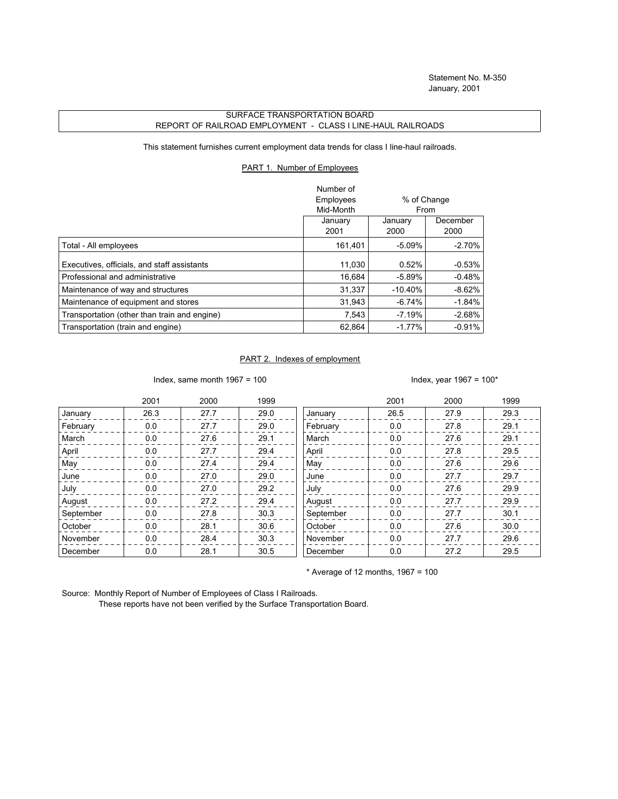## SURFACE TRANSPORTATION BOARD REPORT OF RAILROAD EMPLOYMENT - CLASS I LINE-HAUL RAILROADS

This statement furnishes current employment data trends for class I line-haul railroads.

## PART 1. Number of Employees

|                                              | Number of |             |          |
|----------------------------------------------|-----------|-------------|----------|
|                                              | Employees | % of Change |          |
|                                              | Mid-Month | From        |          |
|                                              | January   | January     | December |
|                                              | 2001      | 2000        | 2000     |
| Total - All employees                        | 161,401   | $-5.09%$    | $-2.70%$ |
| Executives, officials, and staff assistants  | 11,030    | 0.52%       | $-0.53%$ |
| Professional and administrative              | 16,684    | $-5.89%$    | $-0.48%$ |
| Maintenance of way and structures            | 31.337    | $-10.40%$   | $-8.62%$ |
| Maintenance of equipment and stores          | 31,943    | $-6.74%$    | $-1.84%$ |
| Transportation (other than train and engine) | 7.543     | $-7.19%$    | $-2.68%$ |
| Transportation (train and engine)            | 62.864    | $-1.77%$    | $-0.91%$ |

## PART 2. Indexes of employment

Index, same month  $1967 = 100$  Index, year  $1967 = 100*$ 

|           | 2001 | 2000 | 1999 |           | 2001 | 2000 | 1999 |
|-----------|------|------|------|-----------|------|------|------|
| January   | 26.3 | 27.7 | 29.0 | January   | 26.5 | 27.9 | 29.3 |
| February  | 0.0  | 27.7 | 29.0 | February  | 0.0  | 27.8 | 29.1 |
| March     | 0.0  | 27.6 | 29.1 | March     | 0.0  | 27.6 | 29.1 |
| April     | 0.0  | 27.7 | 29.4 | April     | 0.0  | 27.8 | 29.5 |
| May       | 0.0  | 27.4 | 29.4 | May       | 0.0  | 27.6 | 29.6 |
| June      | 0.0  | 27.0 | 29.0 | June      | 0.0  | 27.7 | 29.7 |
| July      | 0.0  | 27.0 | 29.2 | July      | 0.0  | 27.6 | 29.9 |
| August    | 0.0  | 27.2 | 29.4 | August    | 0.0  | 27.7 | 29.9 |
| September | 0.0  | 27.8 | 30.3 | September | 0.0  | 27.7 | 30.1 |
| October   | 0.0  | 28.1 | 30.6 | October   | 0.0  | 27.6 | 30.0 |
| November  | 0.0  | 28.4 | 30.3 | November  | 0.0  | 27.7 | 29.6 |
| December  | 0.0  | 28.1 | 30.5 | December  | 0.0  | 27.2 | 29.5 |

 $*$  Average of 12 months, 1967 = 100

Source: Monthly Report of Number of Employees of Class I Railroads.

These reports have not been verified by the Surface Transportation Board.